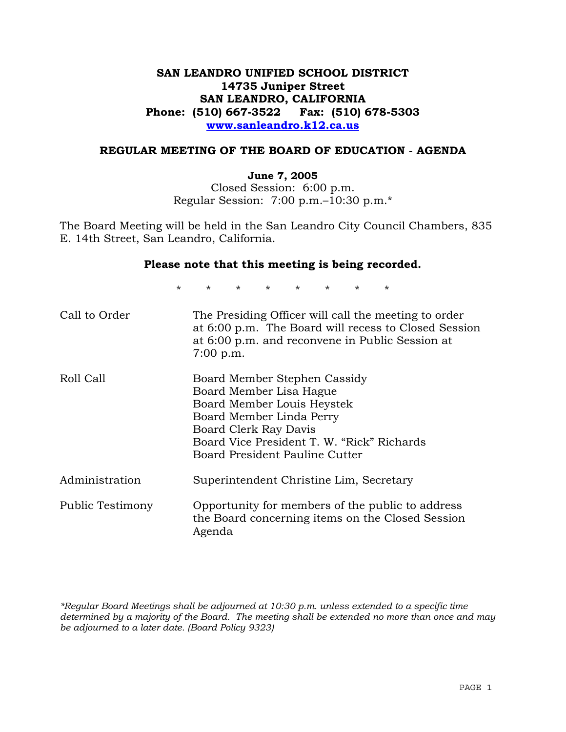# **SAN LEANDRO UNIFIED SCHOOL DISTRICT 14735 Juniper Street SAN LEANDRO, CALIFORNIA Phone: (510) 667-3522 Fax: (510) 678-5303 www.sanleandro.k12.ca.us**

#### **REGULAR MEETING OF THE BOARD OF EDUCATION - AGENDA**

#### **June 7, 2005**

Closed Session: 6:00 p.m. Regular Session: 7:00 p.m.–10:30 p.m.\*

The Board Meeting will be held in the San Leandro City Council Chambers, 835 E. 14th Street, San Leandro, California.

#### **Please note that this meeting is being recorded.**

\* \* \* \* \* \* \* \* Call to Order The Presiding Officer will call the meeting to order at 6:00 p.m. The Board will recess to Closed Session at 6:00 p.m. and reconvene in Public Session at 7:00 p.m. Roll Call Board Member Stephen Cassidy Board Member Lisa Hague Board Member Louis Heystek Board Member Linda Perry Board Clerk Ray Davis Board Vice President T. W. "Rick" Richards Board President Pauline Cutter Administration Superintendent Christine Lim, Secretary Public Testimony Opportunity for members of the public to address the Board concerning items on the Closed Session Agenda

*\*Regular Board Meetings shall be adjourned at 10:30 p.m. unless extended to a specific time determined by a majority of the Board. The meeting shall be extended no more than once and may be adjourned to a later date. (Board Policy 9323)*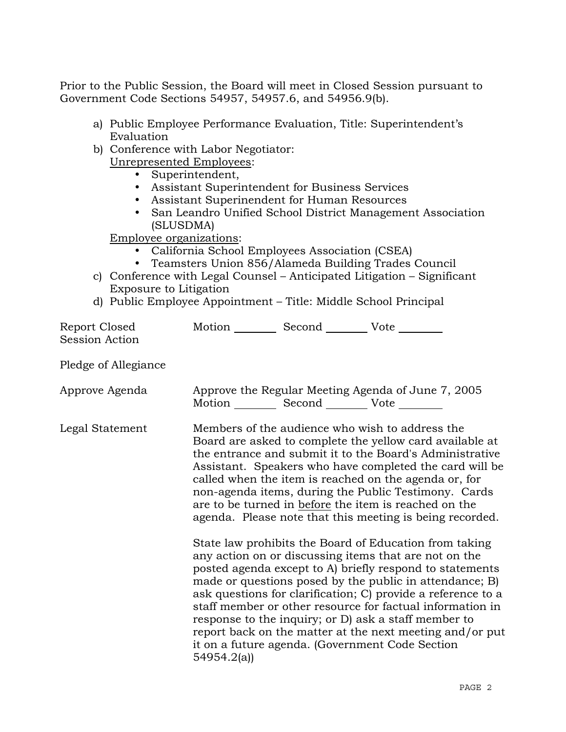Prior to the Public Session, the Board will meet in Closed Session pursuant to Government Code Sections 54957, 54957.6, and 54956.9(b).

- a) Public Employee Performance Evaluation, Title: Superintendent's Evaluation
- b) Conference with Labor Negotiator: Unrepresented Employees:
	- Superintendent,
	- Assistant Superintendent for Business Services
	- Assistant Superinendent for Human Resources
	- San Leandro Unified School District Management Association (SLUSDMA)

Employee organizations:

- California School Employees Association (CSEA)
- Teamsters Union 856/Alameda Building Trades Council
- c) Conference with Legal Counsel Anticipated Litigation Significant Exposure to Litigation
- d) Public Employee Appointment Title: Middle School Principal

| Report Closed<br>Session Action | Motion __________ Second __________ Vote ________                                                                                                                                                                                                                                                                                                                                                                                                                        |  |                                                                                                                                                                                                                                                                                                                                                                                                                                                                                                                                            |
|---------------------------------|--------------------------------------------------------------------------------------------------------------------------------------------------------------------------------------------------------------------------------------------------------------------------------------------------------------------------------------------------------------------------------------------------------------------------------------------------------------------------|--|--------------------------------------------------------------------------------------------------------------------------------------------------------------------------------------------------------------------------------------------------------------------------------------------------------------------------------------------------------------------------------------------------------------------------------------------------------------------------------------------------------------------------------------------|
| Pledge of Allegiance            |                                                                                                                                                                                                                                                                                                                                                                                                                                                                          |  |                                                                                                                                                                                                                                                                                                                                                                                                                                                                                                                                            |
| Approve Agenda                  | Motion __________ Second __________ Vote ________                                                                                                                                                                                                                                                                                                                                                                                                                        |  | Approve the Regular Meeting Agenda of June 7, 2005                                                                                                                                                                                                                                                                                                                                                                                                                                                                                         |
| Legal Statement                 | Members of the audience who wish to address the<br>Board are asked to complete the yellow card available at<br>the entrance and submit it to the Board's Administrative<br>Assistant. Speakers who have completed the card will be<br>called when the item is reached on the agenda or, for<br>non-agenda items, during the Public Testimony. Cards<br>are to be turned in before the item is reached on the<br>agenda. Please note that this meeting is being recorded. |  |                                                                                                                                                                                                                                                                                                                                                                                                                                                                                                                                            |
|                                 | 54954.2(a))                                                                                                                                                                                                                                                                                                                                                                                                                                                              |  | State law prohibits the Board of Education from taking<br>any action on or discussing items that are not on the<br>posted agenda except to A) briefly respond to statements<br>made or questions posed by the public in attendance; B)<br>ask questions for clarification; C) provide a reference to a<br>staff member or other resource for factual information in<br>response to the inquiry; or D) ask a staff member to<br>report back on the matter at the next meeting and/or put<br>it on a future agenda. (Government Code Section |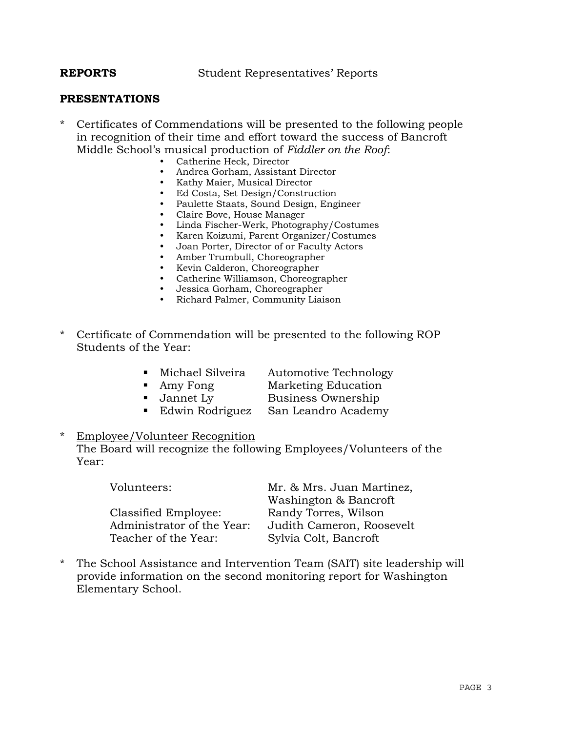**REPORTS** Student Representatives' Reports

#### **PRESENTATIONS**

- \* Certificates of Commendations will be presented to the following people in recognition of their time and effort toward the success of Bancroft Middle School's musical production of *Fiddler on the Roof*:
	- Catherine Heck, Director
	- Andrea Gorham, Assistant Director
	- Kathy Maier, Musical Director
	- Ed Costa, Set Design/Construction
	- Paulette Staats, Sound Design, Engineer
	- Claire Bove, House Manager
	- Linda Fischer-Werk, Photography/Costumes
	- y Karen Koizumi, Parent Organizer/Costumes
	- Joan Porter, Director of or Faculty Actors
	- Amber Trumbull, Choreographer
	- Kevin Calderon, Choreographer
	- Catherine Williamson, Choreographer
	- Jessica Gorham, Choreographer
	- y Richard Palmer, Community Liaison
- \* Certificate of Commendation will be presented to the following ROP Students of the Year:
	- **Michael Silveira** Automotive Technology
	-
	- **Amy Fong Marketing Education**
	-
- 
- Jannet Ly Business Ownership<br>• Edwin Rodriguez San Leandro Academ San Leandro Academy
- **Employee/Volunteer Recognition**  The Board will recognize the following Employees/Volunteers of the Year:

| Volunteers:                | Mr. & Mrs. Juan Martinez, |  |
|----------------------------|---------------------------|--|
|                            | Washington & Bancroft     |  |
| Classified Employee:       | Randy Torres, Wilson      |  |
| Administrator of the Year: | Judith Cameron, Roosevelt |  |
| Teacher of the Year:       | Sylvia Colt, Bancroft     |  |

\* The School Assistance and Intervention Team (SAIT) site leadership will provide information on the second monitoring report for Washington Elementary School.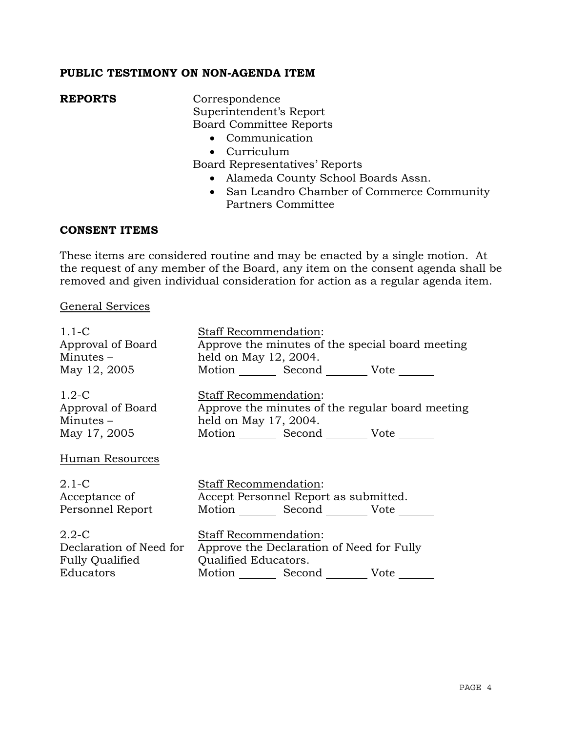# **PUBLIC TESTIMONY ON NON-AGENDA ITEM**

**REPORTS** Correspondence Superintendent's Report Board Committee Reports

- Communication
- Curriculum

Board Representatives' Reports

- Alameda County School Boards Assn.
- San Leandro Chamber of Commerce Community Partners Committee

#### **CONSENT ITEMS**

These items are considered routine and may be enacted by a single motion. At the request of any member of the Board, any item on the consent agenda shall be removed and given individual consideration for action as a regular agenda item.

#### General Services

| $1.1-C$                 | <b>Staff Recommendation:</b>                     |
|-------------------------|--------------------------------------------------|
| Approval of Board       | Approve the minutes of the special board meeting |
| Minutes $-$             | held on May 12, 2004.                            |
| May 12, 2005            | Motion Second Vote                               |
| $1.2-C$                 | <b>Staff Recommendation:</b>                     |
| Approval of Board       | Approve the minutes of the regular board meeting |
| Minutes $-$             | held on May 17, 2004.                            |
| May 17, 2005            | Motion _________ Second _________ Vote _______   |
| Human Resources         |                                                  |
| $2.1-C$                 | Staff Recommendation:                            |
| Acceptance of           | Accept Personnel Report as submitted.            |
| Personnel Report        | Motion Second Vote                               |
| $2.2 - C$               | <b>Staff Recommendation:</b>                     |
| Declaration of Need for | Approve the Declaration of Need for Fully        |
| <b>Fully Qualified</b>  | Qualified Educators.                             |
| Educators               | Motion Second Vote                               |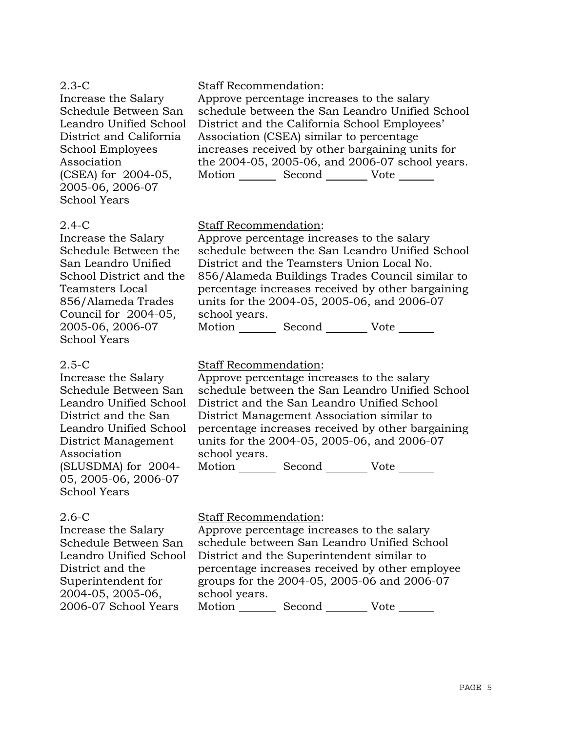| $2.3-C$                                 | <b>Staff Recommendation:</b>                     |
|-----------------------------------------|--------------------------------------------------|
| Increase the Salary                     | Approve percentage increases to the salary       |
| Schedule Between San                    | schedule between the San Leandro Unified School  |
| Leandro Unified School                  | District and the California School Employees'    |
| District and California                 | Association (CSEA) similar to percentage         |
| School Employees                        | increases received by other bargaining units for |
| Association                             | the 2004-05, 2005-06, and 2006-07 school years.  |
| (CSEA) for 2004-05,                     | Motion Second Vote                               |
| 2005-06, 2006-07<br><b>School Years</b> |                                                  |

#### 2.4-C

Increase the Salary Schedule Between the San Leandro Unified School District and the Teamsters Local 856/Alameda Trades Council for 2004-05, 2005-06, 2006-07 School Years

#### 2.5-C

Increase the Salary Schedule Between San Leandro Unified School District and the San Leandro Unified School District Management Association (SLUSDMA) for 2004- 05, 2005-06, 2006-07 School Years

# 2.6-C

Increase the Salary Schedule Between San Leandro Unified School District and the Superintendent for 2004-05, 2005-06, 2006-07 School Years

# Staff Recommendation:

Approve percentage increases to the salary schedule between the San Leandro Unified School District and the Teamsters Union Local No. 856/Alameda Buildings Trades Council similar to percentage increases received by other bargaining units for the 2004-05, 2005-06, and 2006-07 school years.

Motion Second Vote

# Staff Recommendation:

Approve percentage increases to the salary schedule between the San Leandro Unified School District and the San Leandro Unified School District Management Association similar to percentage increases received by other bargaining units for the 2004-05, 2005-06, and 2006-07 school years.

Motion Second Vote

# Staff Recommendation:

Approve percentage increases to the salary schedule between San Leandro Unified School District and the Superintendent similar to percentage increases received by other employee groups for the 2004-05, 2005-06 and 2006-07 school years. Motion Second Vote \_\_\_\_\_\_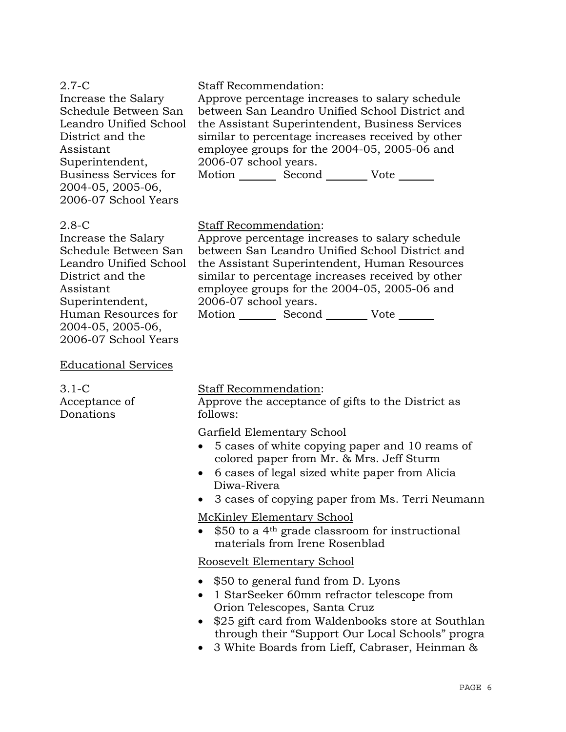| $2.7-C$                                                            | <b>Staff Recommendation:</b>                      |
|--------------------------------------------------------------------|---------------------------------------------------|
| Increase the Salary                                                | Approve percentage increases to salary schedule   |
| Schedule Between San                                               | between San Leandro Unified School District and   |
| Leandro Unified School                                             | the Assistant Superintendent, Business Services   |
| District and the                                                   | similar to percentage increases received by other |
| Assistant                                                          | employee groups for the 2004-05, 2005-06 and      |
| Superintendent,                                                    | 2006-07 school years.                             |
| Business Services for<br>2004-05, 2005-06,<br>2006-07 School Years | Motion Second Vote                                |

#### 2.8-C

Increase the Salary Schedule Between San Leandro Unified School District and the Assistant Superintendent, Human Resources for 2004-05, 2005-06, 2006-07 School Years

Staff Recommendation:

Approve percentage increases to salary schedule between San Leandro Unified School District and the Assistant Superintendent, Human Resources similar to percentage increases received by other employee groups for the 2004-05, 2005-06 and 2006-07 school years.

Motion Second Vote \_\_\_\_\_\_\_

### Educational Services

3.1-C Acceptance of Donations

#### Staff Recommendation:

Approve the acceptance of gifts to the District as follows:

Garfield Elementary School

- 5 cases of white copying paper and 10 reams of colored paper from Mr. & Mrs. Jeff Sturm
- 6 cases of legal sized white paper from Alicia Diwa-Rivera
- 3 cases of copying paper from Ms. Terri Neumann

McKinley Elementary School

• \$50 to a 4<sup>th</sup> grade classroom for instructional materials from Irene Rosenblad

Roosevelt Elementary School

- \$50 to general fund from D. Lyons
- 1 StarSeeker 60mm refractor telescope from Orion Telescopes, Santa Cruz
- \$25 gift card from Waldenbooks store at Southlan through their "Support Our Local Schools" progra
- 3 White Boards from Lieff, Cabraser, Heinman &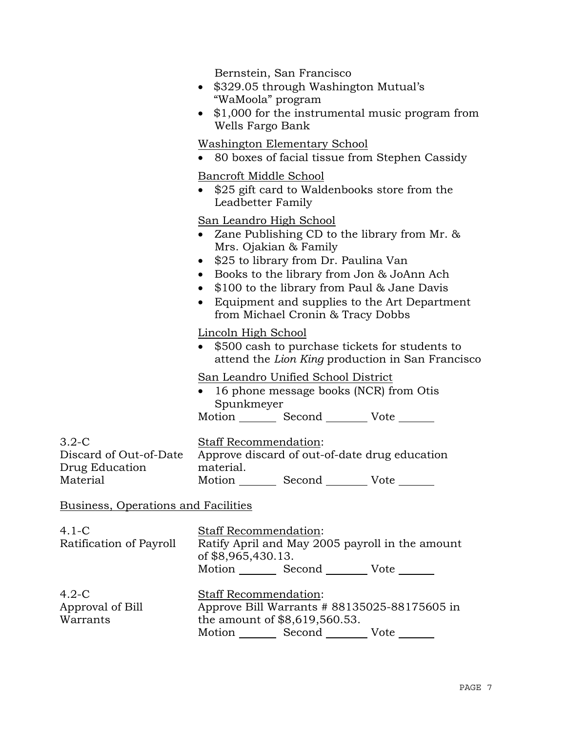|                                                                 | Bernstein, San Francisco<br>\$329.05 through Washington Mutual's<br>$\bullet$<br>"WaMoola" program<br>• \$1,000 for the instrumental music program from<br>Wells Fargo Bank                                                                                                                                                                          |  |  |
|-----------------------------------------------------------------|------------------------------------------------------------------------------------------------------------------------------------------------------------------------------------------------------------------------------------------------------------------------------------------------------------------------------------------------------|--|--|
|                                                                 | <u>Washington Elementary School</u><br>80 boxes of facial tissue from Stephen Cassidy                                                                                                                                                                                                                                                                |  |  |
|                                                                 | Bancroft Middle School<br>• \$25 gift card to Waldenbooks store from the<br>Leadbetter Family                                                                                                                                                                                                                                                        |  |  |
|                                                                 | <u>San Leandro High School</u><br>Zane Publishing CD to the library from Mr. $\&$<br>Mrs. Ojakian & Family<br>\$25 to library from Dr. Paulina Van<br>• Books to the library from Jon & JoAnn Ach<br>\$100 to the library from Paul & Jane Davis<br>$\bullet$<br>• Equipment and supplies to the Art Department<br>from Michael Cronin & Tracy Dobbs |  |  |
|                                                                 | Lincoln High School<br>\$500 cash to purchase tickets for students to<br>attend the Lion King production in San Francisco                                                                                                                                                                                                                            |  |  |
|                                                                 | <u>San Leandro Unified School District</u><br>16 phone message books (NCR) from Otis<br>Spunkmeyer                                                                                                                                                                                                                                                   |  |  |
|                                                                 | Motion _________ Second _________ Vote _______                                                                                                                                                                                                                                                                                                       |  |  |
| $3.2-C$<br>Discard of Out-of-Date<br>Drug Education<br>Material | <b>Staff Recommendation:</b><br>Approve discard of out-of-date drug education<br>material.<br>Motion _________ Second __________ Vote _______                                                                                                                                                                                                        |  |  |
|                                                                 |                                                                                                                                                                                                                                                                                                                                                      |  |  |
| Business, Operations and Facilities                             |                                                                                                                                                                                                                                                                                                                                                      |  |  |
| $4.1 - C$<br>Ratification of Payroll                            | Staff Recommendation:<br>Ratify April and May 2005 payroll in the amount<br>of \$8,965,430.13.<br>Motion _________ Second _________ Vote _______                                                                                                                                                                                                     |  |  |
| $4.2-C$<br>Approval of Bill<br>Warrants                         | <b>Staff Recommendation:</b><br>Approve Bill Warrants # 88135025-88175605 in<br>the amount of \$8,619,560.53.<br>Motion _________ Second __________ Vote _______                                                                                                                                                                                     |  |  |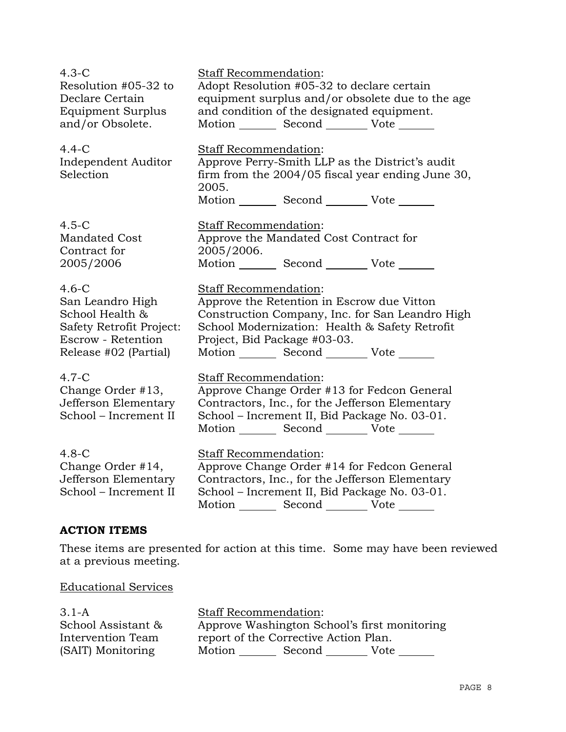| $4.3-C$                                                                       | Staff Recommendation:                                                                                                                                                                                                      |
|-------------------------------------------------------------------------------|----------------------------------------------------------------------------------------------------------------------------------------------------------------------------------------------------------------------------|
| Resolution #05-32 to                                                          | Adopt Resolution #05-32 to declare certain                                                                                                                                                                                 |
| Declare Certain                                                               | equipment surplus and/or obsolete due to the age                                                                                                                                                                           |
| Equipment Surplus                                                             | and condition of the designated equipment.                                                                                                                                                                                 |
| and/or Obsolete.                                                              | Motion _________ Second _________ Vote _______                                                                                                                                                                             |
| $4.4-C$<br>Independent Auditor<br>Selection                                   | Staff Recommendation:<br>Approve Perry-Smith LLP as the District's audit<br>firm from the 2004/05 fiscal year ending June 30,<br>2005.<br>Motion _________ Second _________ Vote _______                                   |
| $4.5-C$                                                                       | Staff Recommendation:                                                                                                                                                                                                      |
| <b>Mandated Cost</b>                                                          | Approve the Mandated Cost Contract for                                                                                                                                                                                     |
| Contract for                                                                  | 2005/2006.                                                                                                                                                                                                                 |
| 2005/2006                                                                     | Motion _________ Second __________ Vote _______                                                                                                                                                                            |
| $4.6-C$                                                                       | Staff Recommendation:                                                                                                                                                                                                      |
| San Leandro High                                                              | Approve the Retention in Escrow due Vitton                                                                                                                                                                                 |
| School Health &                                                               | Construction Company, Inc. for San Leandro High                                                                                                                                                                            |
| <b>Safety Retrofit Project:</b>                                               | School Modernization: Health & Safety Retrofit                                                                                                                                                                             |
| Escrow - Retention                                                            | Project, Bid Package #03-03.                                                                                                                                                                                               |
| Release #02 (Partial)                                                         | Motion _________ Second __________ Vote _______                                                                                                                                                                            |
| $4.7-C$<br>Change Order #13,<br>Jefferson Elementary<br>School - Increment II | Staff Recommendation:<br>Approve Change Order #13 for Fedcon General<br>Contractors, Inc., for the Jefferson Elementary<br>School – Increment II, Bid Package No. 03-01.<br>Motion _________ Second _________ Vote _______ |
| $4.8-C$<br>Change Order #14,<br>Jefferson Elementary<br>School - Increment II | Staff Recommendation:<br>Approve Change Order #14 for Fedcon General<br>Contractors, Inc., for the Jefferson Elementary<br>School - Increment II, Bid Package No. 03-01.<br>Motion _________ Second _________ Vote _______ |

# **ACTION ITEMS**

These items are presented for action at this time. Some may have been reviewed at a previous meeting.

# Educational Services

| $3.1-A$            | <b>Staff Recommendation:</b>                 |        |      |
|--------------------|----------------------------------------------|--------|------|
| School Assistant & | Approve Washington School's first monitoring |        |      |
| Intervention Team  | report of the Corrective Action Plan.        |        |      |
| (SAIT) Monitoring  | Motion                                       | Second | Vote |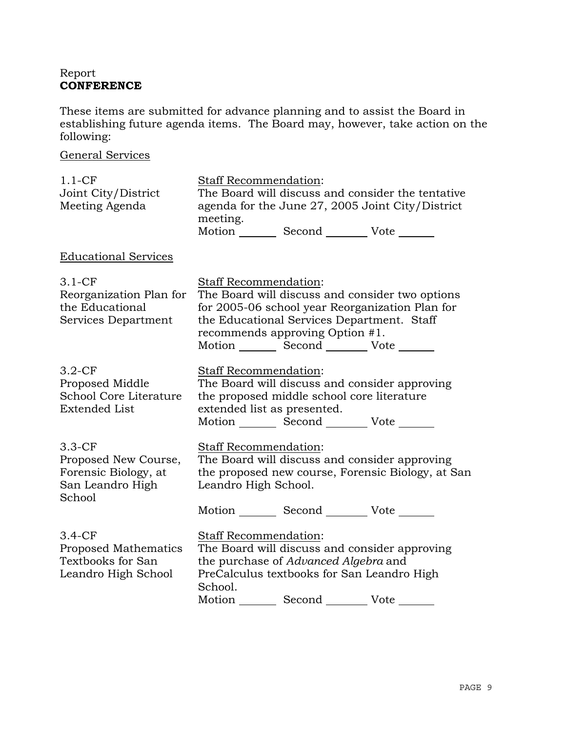# Report **CONFERENCE**

These items are submitted for advance planning and to assist the Board in establishing future agenda items. The Board may, however, take action on the following:

# General Services

| $1.1-CF$<br>Joint City/District<br>Meeting Agenda                                      | Staff Recommendation:<br>The Board will discuss and consider the tentative<br>agenda for the June 27, 2005 Joint City/District<br>meeting.<br>Motion _________ Second __________ Vote _______                                                                   |
|----------------------------------------------------------------------------------------|-----------------------------------------------------------------------------------------------------------------------------------------------------------------------------------------------------------------------------------------------------------------|
| <b>Educational Services</b>                                                            |                                                                                                                                                                                                                                                                 |
| $3.1 - CF$<br>Reorganization Plan for<br>the Educational<br>Services Department        | Staff Recommendation:<br>The Board will discuss and consider two options<br>for 2005-06 school year Reorganization Plan for<br>the Educational Services Department. Staff<br>recommends approving Option #1.<br>Motion _________ Second __________ Vote _______ |
| $3.2-CF$<br>Proposed Middle<br>School Core Literature<br><b>Extended List</b>          | Staff Recommendation:<br>The Board will discuss and consider approving<br>the proposed middle school core literature<br>extended list as presented.<br>Motion _________ Second _________ Vote _______                                                           |
| $3.3-CF$<br>Proposed New Course,<br>Forensic Biology, at<br>San Leandro High<br>School | Staff Recommendation:<br>The Board will discuss and consider approving<br>the proposed new course, Forensic Biology, at San<br>Leandro High School.<br>Motion _________ Second _________ Vote _______                                                           |
| $3.4-CF$<br>Proposed Mathematics<br>Textbooks for San<br>Leandro High School           | Staff Recommendation:<br>The Board will discuss and consider approving<br>the purchase of Advanced Algebra and<br>PreCalculus textbooks for San Leandro High<br>School.<br>Motion _________ Second __________ Vote _______                                      |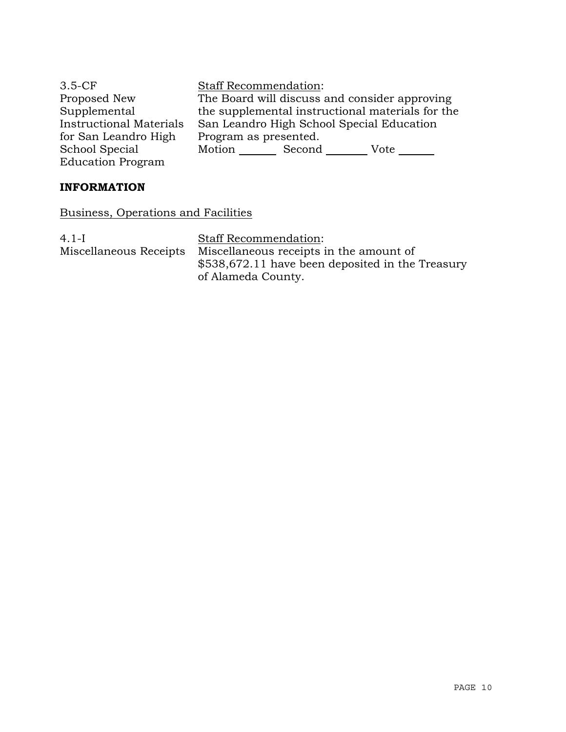| $3.5-CF$                       | <b>Staff Recommendation:</b>                     |  |      |
|--------------------------------|--------------------------------------------------|--|------|
| Proposed New                   | The Board will discuss and consider approving    |  |      |
| Supplemental                   | the supplemental instructional materials for the |  |      |
| <b>Instructional Materials</b> | San Leandro High School Special Education        |  |      |
| for San Leandro High           | Program as presented.                            |  |      |
| School Special                 | Motion Second                                    |  | Vote |
| <b>Education Program</b>       |                                                  |  |      |

# **INFORMATION**

Business, Operations and Facilities

4.1-I Miscellaneous Receipts

Staff Recommendation: Miscellaneous receipts in the amount of \$538,672.11 have been deposited in the Treasury of Alameda County.